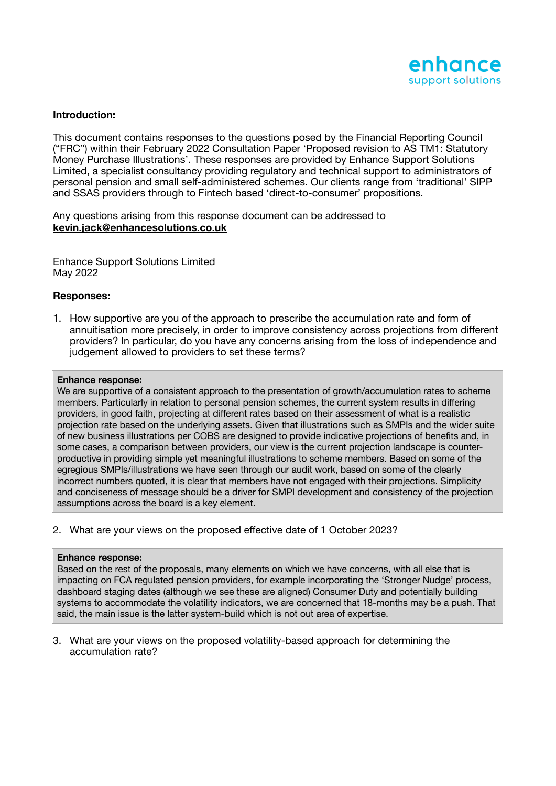

# **Introduction:**

This document contains responses to the questions posed by the Financial Reporting Council ("FRC") within their February 2022 Consultation Paper 'Proposed revision to AS TM1: Statutory Money Purchase Illustrations'. These responses are provided by Enhance Support Solutions Limited, a specialist consultancy providing regulatory and technical support to administrators of personal pension and small self-administered schemes. Our clients range from 'traditional' SIPP and SSAS providers through to Fintech based 'direct-to-consumer' propositions.

Any questions arising from this response document can be addressed to **[kevin.jack@enhancesolutions.co.uk](mailto:kevin.jack@enhancesolutions.co.uk)**

Enhance Support Solutions Limited May 2022

# **Responses:**

1. How supportive are you of the approach to prescribe the accumulation rate and form of annuitisation more precisely, in order to improve consistency across projections from different providers? In particular, do you have any concerns arising from the loss of independence and judgement allowed to providers to set these terms?

### **Enhance response:**

We are supportive of a consistent approach to the presentation of growth/accumulation rates to scheme members. Particularly in relation to personal pension schemes, the current system results in differing providers, in good faith, projecting at different rates based on their assessment of what is a realistic projection rate based on the underlying assets. Given that illustrations such as SMPIs and the wider suite of new business illustrations per COBS are designed to provide indicative projections of benefits and, in some cases, a comparison between providers, our view is the current projection landscape is counterproductive in providing simple yet meaningful illustrations to scheme members. Based on some of the egregious SMPIs/illustrations we have seen through our audit work, based on some of the clearly incorrect numbers quoted, it is clear that members have not engaged with their projections. Simplicity and conciseness of message should be a driver for SMPI development and consistency of the projection assumptions across the board is a key element.

2. What are your views on the proposed effective date of 1 October 2023?

## **Enhance response:**

Based on the rest of the proposals, many elements on which we have concerns, with all else that is impacting on FCA regulated pension providers, for example incorporating the 'Stronger Nudge' process, dashboard staging dates (although we see these are aligned) Consumer Duty and potentially building systems to accommodate the volatility indicators, we are concerned that 18-months may be a push. That said, the main issue is the latter system-build which is not out area of expertise.

3. What are your views on the proposed volatility-based approach for determining the accumulation rate?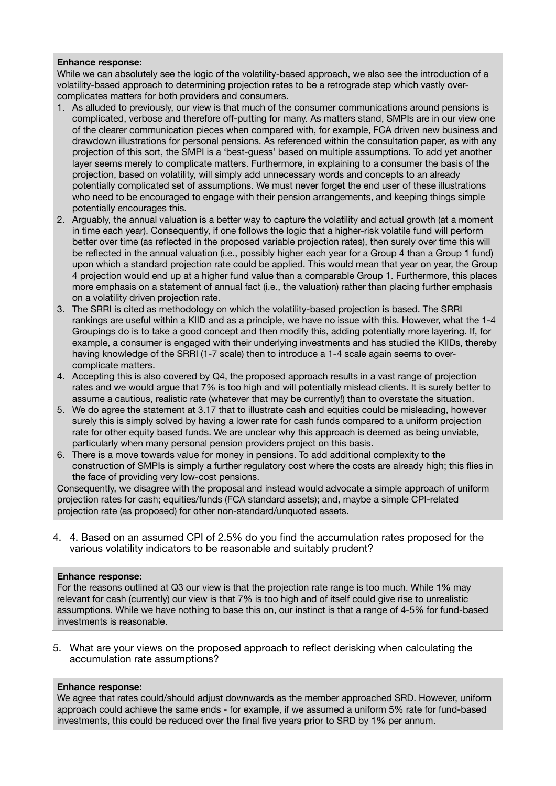## **Enhance response:**

While we can absolutely see the logic of the volatility-based approach, we also see the introduction of a volatility-based approach to determining projection rates to be a retrograde step which vastly overcomplicates matters for both providers and consumers.

- 1. As alluded to previously, our view is that much of the consumer communications around pensions is complicated, verbose and therefore off-putting for many. As matters stand, SMPIs are in our view one of the clearer communication pieces when compared with, for example, FCA driven new business and drawdown illustrations for personal pensions. As referenced within the consultation paper, as with any projection of this sort, the SMPI is a 'best-guess' based on multiple assumptions. To add yet another layer seems merely to complicate matters. Furthermore, in explaining to a consumer the basis of the projection, based on volatility, will simply add unnecessary words and concepts to an already potentially complicated set of assumptions. We must never forget the end user of these illustrations who need to be encouraged to engage with their pension arrangements, and keeping things simple potentially encourages this.
- 2. Arguably, the annual valuation is a better way to capture the volatility and actual growth (at a moment in time each year). Consequently, if one follows the logic that a higher-risk volatile fund will perform better over time (as reflected in the proposed variable projection rates), then surely over time this will be reflected in the annual valuation (i.e., possibly higher each year for a Group 4 than a Group 1 fund) upon which a standard projection rate could be applied. This would mean that year on year, the Group 4 projection would end up at a higher fund value than a comparable Group 1. Furthermore, this places more emphasis on a statement of annual fact (i.e., the valuation) rather than placing further emphasis on a volatility driven projection rate.
- 3. The SRRI is cited as methodology on which the volatility-based projection is based. The SRRI rankings are useful within a KIID and as a principle, we have no issue with this. However, what the 1-4 Groupings do is to take a good concept and then modify this, adding potentially more layering. If, for example, a consumer is engaged with their underlying investments and has studied the KIIDs, thereby having knowledge of the SRRI (1-7 scale) then to introduce a 1-4 scale again seems to overcomplicate matters.
- 4. Accepting this is also covered by Q4, the proposed approach results in a vast range of projection rates and we would argue that 7% is too high and will potentially mislead clients. It is surely better to assume a cautious, realistic rate (whatever that may be currently!) than to overstate the situation.
- 5. We do agree the statement at 3.17 that to illustrate cash and equities could be misleading, however surely this is simply solved by having a lower rate for cash funds compared to a uniform projection rate for other equity based funds. We are unclear why this approach is deemed as being unviable, particularly when many personal pension providers project on this basis.
- 6. There is a move towards value for money in pensions. To add additional complexity to the construction of SMPIs is simply a further regulatory cost where the costs are already high; this flies in the face of providing very low-cost pensions.

Consequently, we disagree with the proposal and instead would advocate a simple approach of uniform projection rates for cash; equities/funds (FCA standard assets); and, maybe a simple CPI-related projection rate (as proposed) for other non-standard/unquoted assets.

4. 4. Based on an assumed CPI of 2.5% do you find the accumulation rates proposed for the various volatility indicators to be reasonable and suitably prudent?

# **Enhance response:**

For the reasons outlined at Q3 our view is that the projection rate range is too much. While 1% may relevant for cash (currently) our view is that 7% is too high and of itself could give rise to unrealistic assumptions. While we have nothing to base this on, our instinct is that a range of 4-5% for fund-based investments is reasonable.

5. What are your views on the proposed approach to reflect derisking when calculating the accumulation rate assumptions?

# **Enhance response:**

We agree that rates could/should adjust downwards as the member approached SRD. However, uniform approach could achieve the same ends - for example, if we assumed a uniform 5% rate for fund-based investments, this could be reduced over the final five years prior to SRD by 1% per annum.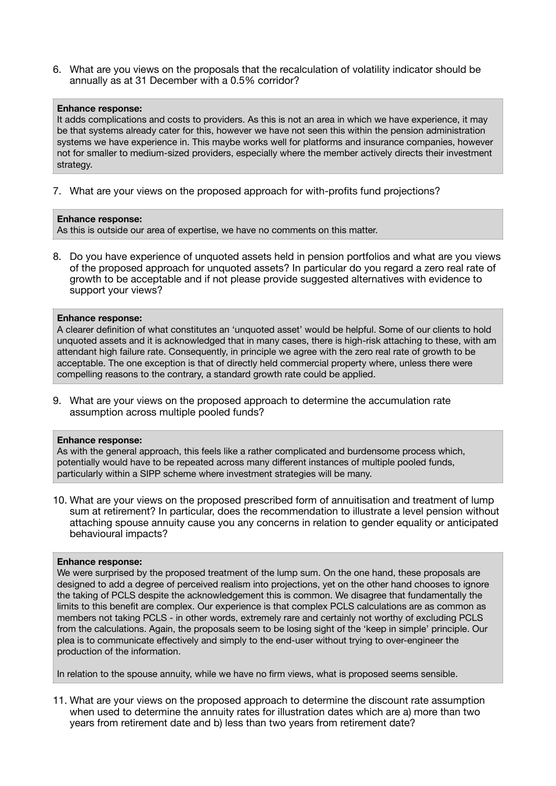6. What are you views on the proposals that the recalculation of volatility indicator should be annually as at 31 December with a 0.5% corridor?

### **Enhance response:**

It adds complications and costs to providers. As this is not an area in which we have experience, it may be that systems already cater for this, however we have not seen this within the pension administration systems we have experience in. This maybe works well for platforms and insurance companies, however not for smaller to medium-sized providers, especially where the member actively directs their investment strategy.

7. What are your views on the proposed approach for with-profits fund projections?

## **Enhance response:**

As this is outside our area of expertise, we have no comments on this matter.

8. Do you have experience of unquoted assets held in pension portfolios and what are you views of the proposed approach for unquoted assets? In particular do you regard a zero real rate of growth to be acceptable and if not please provide suggested alternatives with evidence to support your views?

### **Enhance response:**

A clearer definition of what constitutes an 'unquoted asset' would be helpful. Some of our clients to hold unquoted assets and it is acknowledged that in many cases, there is high-risk attaching to these, with am attendant high failure rate. Consequently, in principle we agree with the zero real rate of growth to be acceptable. The one exception is that of directly held commercial property where, unless there were compelling reasons to the contrary, a standard growth rate could be applied.

9. What are your views on the proposed approach to determine the accumulation rate assumption across multiple pooled funds?

### **Enhance response:**

As with the general approach, this feels like a rather complicated and burdensome process which, potentially would have to be repeated across many different instances of multiple pooled funds, particularly within a SIPP scheme where investment strategies will be many.

10. What are your views on the proposed prescribed form of annuitisation and treatment of lump sum at retirement? In particular, does the recommendation to illustrate a level pension without attaching spouse annuity cause you any concerns in relation to gender equality or anticipated behavioural impacts?

### **Enhance response:**

We were surprised by the proposed treatment of the lump sum. On the one hand, these proposals are designed to add a degree of perceived realism into projections, yet on the other hand chooses to ignore the taking of PCLS despite the acknowledgement this is common. We disagree that fundamentally the limits to this benefit are complex. Our experience is that complex PCLS calculations are as common as members not taking PCLS - in other words, extremely rare and certainly not worthy of excluding PCLS from the calculations. Again, the proposals seem to be losing sight of the 'keep in simple' principle. Our plea is to communicate effectively and simply to the end-user without trying to over-engineer the production of the information.

In relation to the spouse annuity, while we have no firm views, what is proposed seems sensible.

11. What are your views on the proposed approach to determine the discount rate assumption when used to determine the annuity rates for illustration dates which are a) more than two years from retirement date and b) less than two years from retirement date?